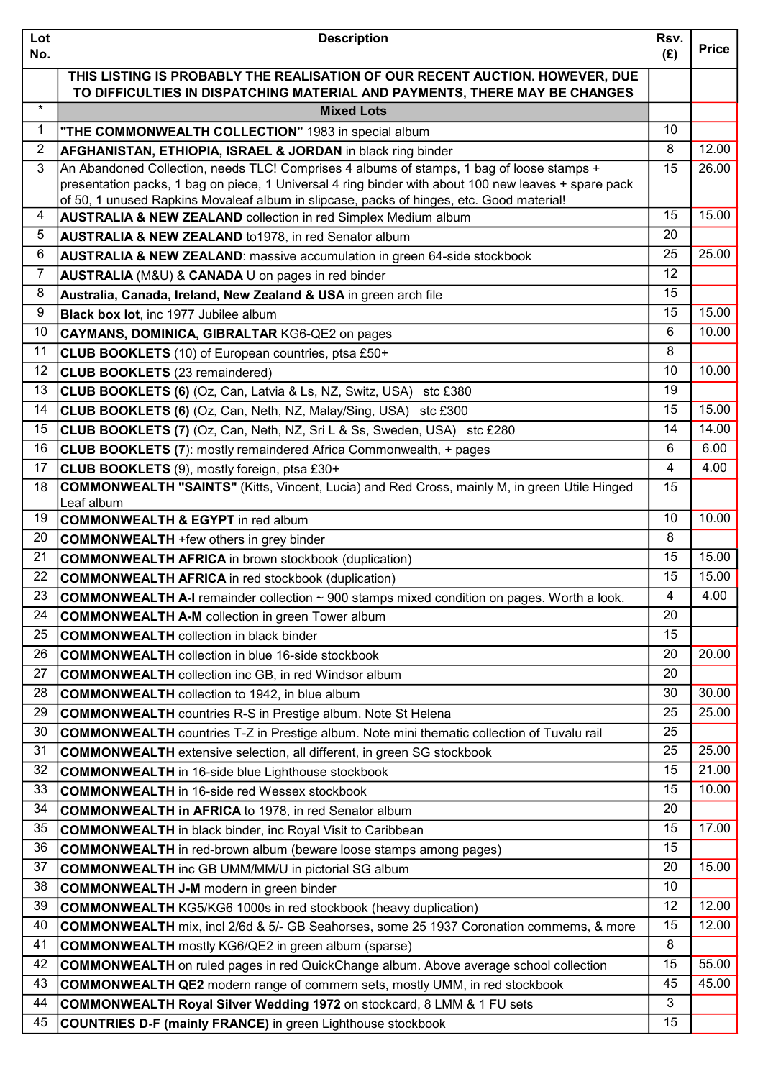| Lot            | <b>Description</b>                                                                                                                                                                                | Rsv.           | <b>Price</b> |
|----------------|---------------------------------------------------------------------------------------------------------------------------------------------------------------------------------------------------|----------------|--------------|
| No.            |                                                                                                                                                                                                   | (E)            |              |
|                | THIS LISTING IS PROBABLY THE REALISATION OF OUR RECENT AUCTION. HOWEVER, DUE                                                                                                                      |                |              |
| $\star$        | TO DIFFICULTIES IN DISPATCHING MATERIAL AND PAYMENTS, THERE MAY BE CHANGES<br><b>Mixed Lots</b>                                                                                                   |                |              |
|                |                                                                                                                                                                                                   | 10             |              |
| $\mathbf{1}$   | "THE COMMONWEALTH COLLECTION" 1983 in special album                                                                                                                                               | 8              |              |
| $\overline{2}$ | <b>AFGHANISTAN, ETHIOPIA, ISRAEL &amp; JORDAN</b> in black ring binder                                                                                                                            |                | 12.00        |
| 3              | An Abandoned Collection, needs TLC! Comprises 4 albums of stamps, 1 bag of loose stamps +<br>presentation packs, 1 bag on piece, 1 Universal 4 ring binder with about 100 new leaves + spare pack | 15             | 26.00        |
|                | of 50, 1 unused Rapkins Movaleaf album in slipcase, packs of hinges, etc. Good material!                                                                                                          |                |              |
| 4              | <b>AUSTRALIA &amp; NEW ZEALAND</b> collection in red Simplex Medium album                                                                                                                         | 15             | 15.00        |
| 5              | <b>AUSTRALIA &amp; NEW ZEALAND to 1978, in red Senator album</b>                                                                                                                                  | 20             |              |
| 6              | <b>AUSTRALIA &amp; NEW ZEALAND:</b> massive accumulation in green 64-side stockbook                                                                                                               | 25             | 25.00        |
| $\overline{7}$ | AUSTRALIA (M&U) & CANADA U on pages in red binder                                                                                                                                                 | 12             |              |
| 8              | Australia, Canada, Ireland, New Zealand & USA in green arch file                                                                                                                                  | 15             |              |
| 9              | Black box lot, inc 1977 Jubilee album                                                                                                                                                             | 15             | 15.00        |
| 10             | CAYMANS, DOMINICA, GIBRALTAR KG6-QE2 on pages                                                                                                                                                     | 6              | 10.00        |
| 11             | <b>CLUB BOOKLETS</b> (10) of European countries, ptsa £50+                                                                                                                                        | 8              |              |
| 12             | <b>CLUB BOOKLETS</b> (23 remaindered)                                                                                                                                                             | 10             | 10.00        |
| 13             | <b>CLUB BOOKLETS (6)</b> (Oz, Can, Latvia & Ls, NZ, Switz, USA) stc £380                                                                                                                          | 19             |              |
| 14             | <b>CLUB BOOKLETS (6)</b> (Oz, Can, Neth, NZ, Malay/Sing, USA) stc £300                                                                                                                            | 15             | 15.00        |
| 15             | <b>CLUB BOOKLETS (7)</b> (Oz, Can, Neth, NZ, Sri L & Ss, Sweden, USA) stc £280                                                                                                                    | 14             | 14.00        |
| 16             | <b>CLUB BOOKLETS (7):</b> mostly remaindered Africa Commonwealth, + pages                                                                                                                         | 6              | 6.00         |
| 17             | CLUB BOOKLETS (9), mostly foreign, ptsa £30+                                                                                                                                                      | $\overline{4}$ | 4.00         |
| 18             | <b>COMMONWEALTH "SAINTS"</b> (Kitts, Vincent, Lucia) and Red Cross, mainly M, in green Utile Hinged                                                                                               | 15             |              |
|                | Leaf album                                                                                                                                                                                        |                |              |
| 19             | <b>COMMONWEALTH &amp; EGYPT</b> in red album                                                                                                                                                      | 10             | 10.00        |
| 20             | <b>COMMONWEALTH</b> +few others in grey binder                                                                                                                                                    | 8              |              |
| 21             | <b>COMMONWEALTH AFRICA</b> in brown stockbook (duplication)                                                                                                                                       | 15             | 15.00        |
| 22             | <b>COMMONWEALTH AFRICA</b> in red stockbook (duplication)                                                                                                                                         | 15             | 15.00        |
| 23             | <b>COMMONWEALTH A-I</b> remainder collection $\sim$ 900 stamps mixed condition on pages. Worth a look.                                                                                            | 4              | 4.00         |
| 24             | <b>COMMONWEALTH A-M</b> collection in green Tower album                                                                                                                                           | 20             |              |
| 25             | <b>COMMONWEALTH</b> collection in black binder                                                                                                                                                    | 15             |              |
| 26             | <b>COMMONWEALTH</b> collection in blue 16-side stockbook                                                                                                                                          | 20             | 20.00        |
| 27             | <b>COMMONWEALTH</b> collection inc GB, in red Windsor album                                                                                                                                       | 20             |              |
| 28             | <b>COMMONWEALTH</b> collection to 1942, in blue album                                                                                                                                             | 30             | 30.00        |
| 29             | <b>COMMONWEALTH</b> countries R-S in Prestige album. Note St Helena                                                                                                                               | 25             | 25.00        |
| 30             | <b>COMMONWEALTH</b> countries T-Z in Prestige album. Note mini thematic collection of Tuvalu rail                                                                                                 | 25             |              |
| 31             | <b>COMMONWEALTH</b> extensive selection, all different, in green SG stockbook                                                                                                                     | 25             | 25.00        |
| 32             | <b>COMMONWEALTH</b> in 16-side blue Lighthouse stockbook                                                                                                                                          | 15             | 21.00        |
| 33             | <b>COMMONWEALTH</b> in 16-side red Wessex stockbook                                                                                                                                               | 15             | 10.00        |
| 34             | <b>COMMONWEALTH in AFRICA to 1978, in red Senator album</b>                                                                                                                                       | 20             |              |
| 35             | <b>COMMONWEALTH</b> in black binder, inc Royal Visit to Caribbean                                                                                                                                 | 15             | 17.00        |
| 36             | <b>COMMONWEALTH</b> in red-brown album (beware loose stamps among pages)                                                                                                                          | 15             |              |
| 37             | <b>COMMONWEALTH</b> inc GB UMM/MM/U in pictorial SG album                                                                                                                                         | 20             | 15.00        |
| 38             | <b>COMMONWEALTH J-M</b> modern in green binder                                                                                                                                                    | 10             |              |
| 39             | <b>COMMONWEALTH KG5/KG6 1000s in red stockbook (heavy duplication)</b>                                                                                                                            | 12             | 12.00        |
| 40             | <b>COMMONWEALTH</b> mix, incl 2/6d & 5/- GB Seahorses, some 25 1937 Coronation commems, & more                                                                                                    | 15             | 12.00        |
| 41             | <b>COMMONWEALTH</b> mostly KG6/QE2 in green album (sparse)                                                                                                                                        | 8              |              |
| 42             | <b>COMMONWEALTH</b> on ruled pages in red QuickChange album. Above average school collection                                                                                                      | 15             | 55.00        |
| 43             | <b>COMMONWEALTH QE2</b> modern range of commem sets, mostly UMM, in red stockbook                                                                                                                 | 45             | 45.00        |
| 44             | COMMONWEALTH Royal Silver Wedding 1972 on stockcard, 8 LMM & 1 FU sets                                                                                                                            | 3              |              |
| 45             | <b>COUNTRIES D-F (mainly FRANCE)</b> in green Lighthouse stockbook                                                                                                                                | 15             |              |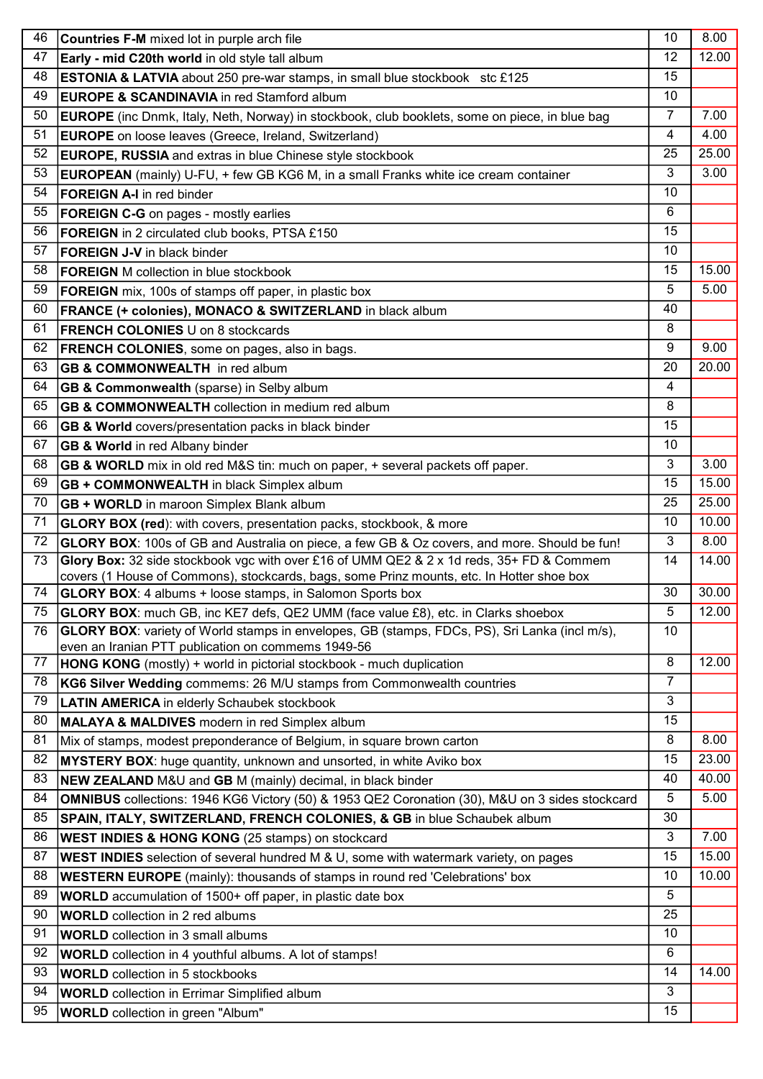| 46 | <b>Countries F-M</b> mixed lot in purple arch file                                                                                                            | 10               | 8.00  |
|----|---------------------------------------------------------------------------------------------------------------------------------------------------------------|------------------|-------|
| 47 | Early - mid C20th world in old style tall album                                                                                                               | 12               | 12.00 |
| 48 | <b>ESTONIA &amp; LATVIA</b> about 250 pre-war stamps, in small blue stockbook stc £125                                                                        | 15               |       |
| 49 | <b>EUROPE &amp; SCANDINAVIA</b> in red Stamford album                                                                                                         | 10               |       |
| 50 |                                                                                                                                                               | $\overline{7}$   | 7.00  |
| 51 | <b>EUROPE</b> (inc Dnmk, Italy, Neth, Norway) in stockbook, club booklets, some on piece, in blue bag                                                         | 4                | 4.00  |
|    | <b>EUROPE</b> on loose leaves (Greece, Ireland, Switzerland)                                                                                                  |                  |       |
| 52 | <b>EUROPE, RUSSIA</b> and extras in blue Chinese style stockbook                                                                                              | 25               | 25.00 |
| 53 | <b>EUROPEAN</b> (mainly) U-FU, + few GB KG6 M, in a small Franks white ice cream container                                                                    | 3                | 3.00  |
| 54 | <b>FOREIGN A-I</b> in red binder                                                                                                                              | 10               |       |
| 55 | <b>FOREIGN C-G</b> on pages - mostly earlies                                                                                                                  | 6                |       |
| 56 | <b>FOREIGN</b> in 2 circulated club books, PTSA £150                                                                                                          | 15               |       |
| 57 | <b>FOREIGN J-V</b> in black binder                                                                                                                            | 10               |       |
| 58 | <b>FOREIGN</b> M collection in blue stockbook                                                                                                                 | 15               | 15.00 |
| 59 | <b>FOREIGN</b> mix, 100s of stamps off paper, in plastic box                                                                                                  | 5                | 5.00  |
| 60 | FRANCE (+ colonies), MONACO & SWITZERLAND in black album                                                                                                      | 40               |       |
| 61 | <b>FRENCH COLONIES U on 8 stockcards</b>                                                                                                                      | 8                |       |
| 62 | <b>FRENCH COLONIES, some on pages, also in bags.</b>                                                                                                          | $\boldsymbol{9}$ | 9.00  |
| 63 | <b>GB &amp; COMMONWEALTH</b> in red album                                                                                                                     | 20               | 20.00 |
| 64 | GB & Commonwealth (sparse) in Selby album                                                                                                                     | 4                |       |
| 65 | <b>GB &amp; COMMONWEALTH</b> collection in medium red album                                                                                                   | 8                |       |
| 66 | GB & World covers/presentation packs in black binder                                                                                                          | 15               |       |
| 67 | <b>GB &amp; World in red Albany binder</b>                                                                                                                    | 10               |       |
| 68 |                                                                                                                                                               | 3                | 3.00  |
| 69 | GB & WORLD mix in old red M&S tin: much on paper, + several packets off paper.                                                                                | 15               | 15.00 |
| 70 | <b>GB + COMMONWEALTH</b> in black Simplex album                                                                                                               | 25               | 25.00 |
|    | <b>GB + WORLD</b> in maroon Simplex Blank album                                                                                                               |                  |       |
| 71 | GLORY BOX (red): with covers, presentation packs, stockbook, & more                                                                                           | 10               | 10.00 |
| 72 | GLORY BOX: 100s of GB and Australia on piece, a few GB & Oz covers, and more. Should be fun!                                                                  | 3                | 8.00  |
| 73 | Glory Box: 32 side stockbook vgc with over £16 of UMM QE2 & 2 x 1d reds, 35+ FD & Commem                                                                      | 14               | 14.00 |
| 74 | covers (1 House of Commons), stockcards, bags, some Prinz mounts, etc. In Hotter shoe box<br><b>GLORY BOX:</b> 4 albums + loose stamps, in Salomon Sports box | 30               | 30.00 |
| 75 | GLORY BOX: much GB, inc KE7 defs, QE2 UMM (face value £8), etc. in Clarks shoebox                                                                             | 5                | 12.00 |
| 76 | GLORY BOX: variety of World stamps in envelopes, GB (stamps, FDCs, PS), Sri Lanka (incl m/s),                                                                 | 10               |       |
|    | even an Iranian PTT publication on commems 1949-56                                                                                                            |                  |       |
| 77 | HONG KONG (mostly) + world in pictorial stockbook - much duplication                                                                                          | 8                | 12.00 |
| 78 | KG6 Silver Wedding commems: 26 M/U stamps from Commonwealth countries                                                                                         | 7                |       |
| 79 | <b>LATIN AMERICA</b> in elderly Schaubek stockbook                                                                                                            | 3                |       |
| 80 | <b>MALAYA &amp; MALDIVES</b> modern in red Simplex album                                                                                                      | 15               |       |
| 81 | Mix of stamps, modest preponderance of Belgium, in square brown carton                                                                                        | 8                | 8.00  |
| 82 | MYSTERY BOX: huge quantity, unknown and unsorted, in white Aviko box                                                                                          | 15               | 23.00 |
| 83 | <b>NEW ZEALAND</b> M&U and GB M (mainly) decimal, in black binder                                                                                             | 40               | 40.00 |
| 84 | OMNIBUS collections: 1946 KG6 Victory (50) & 1953 QE2 Coronation (30), M&U on 3 sides stockcard                                                               | 5                | 5.00  |
| 85 | SPAIN, ITALY, SWITZERLAND, FRENCH COLONIES, & GB in blue Schaubek album                                                                                       | 30               |       |
|    |                                                                                                                                                               | 3                | 7.00  |
| 86 | <b>WEST INDIES &amp; HONG KONG</b> (25 stamps) on stockcard                                                                                                   | 15               | 15.00 |
| 87 | <b>WEST INDIES</b> selection of several hundred M & U, some with watermark variety, on pages                                                                  |                  | 10.00 |
| 88 | <b>WESTERN EUROPE</b> (mainly): thousands of stamps in round red 'Celebrations' box                                                                           | 10               |       |
| 89 | <b>WORLD</b> accumulation of 1500+ off paper, in plastic date box                                                                                             | 5                |       |
| 90 | <b>WORLD</b> collection in 2 red albums                                                                                                                       | 25               |       |
| 91 | <b>WORLD</b> collection in 3 small albums                                                                                                                     | 10               |       |
| 92 | WORLD collection in 4 youthful albums. A lot of stamps!                                                                                                       | 6                |       |
| 93 | <b>WORLD</b> collection in 5 stockbooks                                                                                                                       | 14               | 14.00 |
| 94 | <b>WORLD</b> collection in Errimar Simplified album                                                                                                           | 3                |       |
| 95 | <b>WORLD</b> collection in green "Album"                                                                                                                      | 15               |       |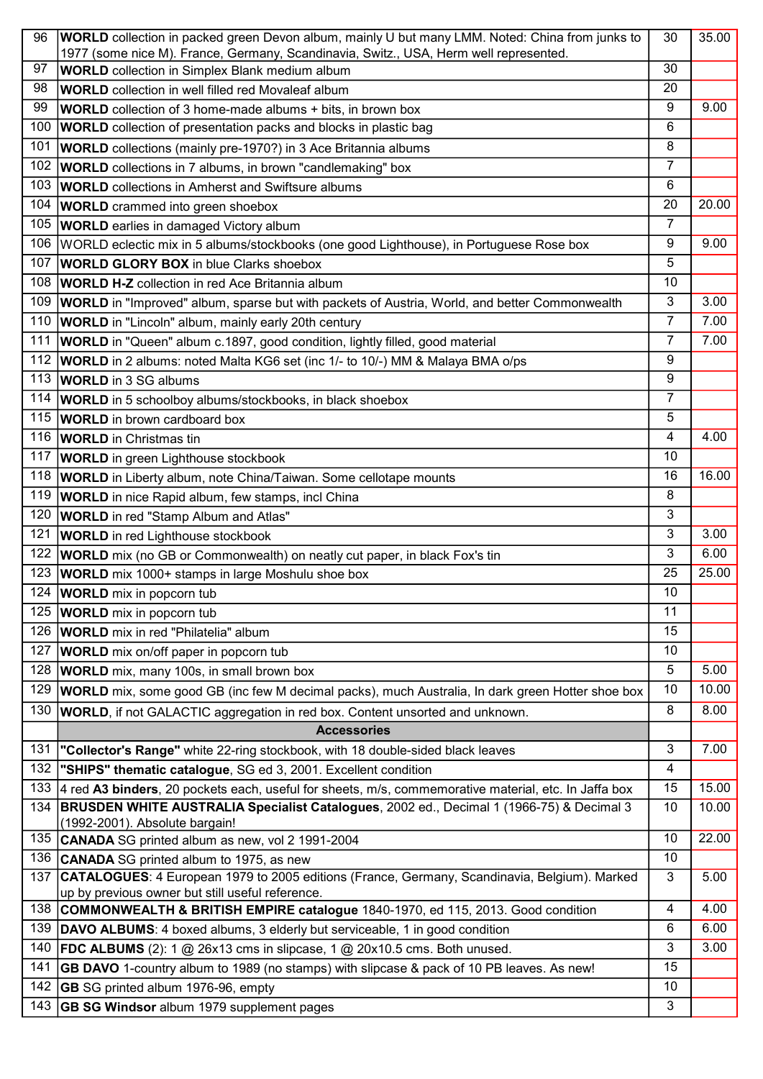| 96  | <b>WORLD</b> collection in packed green Devon album, mainly U but many LMM. Noted: China from junks to  | 30               | 35.00 |
|-----|---------------------------------------------------------------------------------------------------------|------------------|-------|
| 97  | 1977 (some nice M). France, Germany, Scandinavia, Switz., USA, Herm well represented.                   | 30               |       |
| 98  | <b>WORLD</b> collection in Simplex Blank medium album                                                   | 20               |       |
| 99  | <b>WORLD</b> collection in well filled red Movaleaf album                                               | 9                | 9.00  |
|     | <b>WORLD</b> collection of 3 home-made albums + bits, in brown box                                      |                  |       |
| 100 | <b>WORLD</b> collection of presentation packs and blocks in plastic bag                                 | 6                |       |
| 101 | <b>WORLD</b> collections (mainly pre-1970?) in 3 Ace Britannia albums                                   | 8                |       |
| 102 | <b>WORLD</b> collections in 7 albums, in brown "candlemaking" box                                       | $\overline{7}$   |       |
| 103 | <b>WORLD</b> collections in Amherst and Swiftsure albums                                                | 6                |       |
| 104 | <b>WORLD</b> crammed into green shoebox                                                                 | 20               | 20.00 |
| 105 | <b>WORLD</b> earlies in damaged Victory album                                                           | $\overline{7}$   |       |
| 106 | WORLD eclectic mix in 5 albums/stockbooks (one good Lighthouse), in Portuguese Rose box                 | $\boldsymbol{9}$ | 9.00  |
| 107 | <b>WORLD GLORY BOX in blue Clarks shoebox</b>                                                           | 5                |       |
| 108 | <b>WORLD H-Z</b> collection in red Ace Britannia album                                                  | 10               |       |
| 109 | <b>WORLD</b> in "Improved" album, sparse but with packets of Austria, World, and better Commonwealth    | 3                | 3.00  |
| 110 | <b>WORLD</b> in "Lincoln" album, mainly early 20th century                                              | $\overline{7}$   | 7.00  |
| 111 | WORLD in "Queen" album c.1897, good condition, lightly filled, good material                            | $\overline{7}$   | 7.00  |
| 112 | <b>WORLD</b> in 2 albums: noted Malta KG6 set (inc 1/- to 10/-) MM & Malaya BMA o/ps                    | 9                |       |
| 113 | <b>WORLD</b> in 3 SG albums                                                                             | 9                |       |
| 114 | <b>WORLD</b> in 5 schoolboy albums/stockbooks, in black shoebox                                         | 7                |       |
| 115 | <b>WORLD</b> in brown cardboard box                                                                     | 5                |       |
| 116 | <b>WORLD</b> in Christmas tin                                                                           | $\overline{4}$   | 4.00  |
| 117 | <b>WORLD</b> in green Lighthouse stockbook                                                              | 10               |       |
| 118 | <b>WORLD</b> in Liberty album, note China/Taiwan. Some cellotape mounts                                 | 16               | 16.00 |
| 119 | <b>WORLD</b> in nice Rapid album, few stamps, incl China                                                | 8                |       |
| 120 | <b>WORLD</b> in red "Stamp Album and Atlas"                                                             | 3                |       |
| 121 | <b>WORLD</b> in red Lighthouse stockbook                                                                | 3                | 3.00  |
| 122 | <b>WORLD</b> mix (no GB or Commonwealth) on neatly cut paper, in black Fox's tin                        | 3                | 6.00  |
| 123 | <b>WORLD</b> mix 1000+ stamps in large Moshulu shoe box                                                 | 25               | 25.00 |
| 124 | <b>WORLD</b> mix in popcorn tub                                                                         | 10               |       |
| 125 | <b>WORLD</b> mix in popcorn tub                                                                         | 11               |       |
| 126 | <b>WORLD</b> mix in red "Philatelia" album                                                              | 15               |       |
| 127 | <b>WORLD</b> mix on/off paper in popcorn tub                                                            | 10               |       |
| 128 | <b>WORLD</b> mix, many 100s, in small brown box                                                         | 5                | 5.00  |
| 129 | <b>WORLD</b> mix, some good GB (inc few M decimal packs), much Australia, In dark green Hotter shoe box | 10               | 10.00 |
| 130 | WORLD, if not GALACTIC aggregation in red box. Content unsorted and unknown.                            | 8                | 8.00  |
|     | <b>Accessories</b>                                                                                      |                  |       |
| 131 | "Collector's Range" white 22-ring stockbook, with 18 double-sided black leaves                          | 3                | 7.00  |
| 132 | "SHIPS" thematic catalogue, SG ed 3, 2001. Excellent condition                                          | 4                |       |
| 133 | 4 red A3 binders, 20 pockets each, useful for sheets, m/s, commemorative material, etc. In Jaffa box    | 15               | 15.00 |
| 134 | <b>BRUSDEN WHITE AUSTRALIA Specialist Catalogues</b> , 2002 ed., Decimal 1 (1966-75) & Decimal 3        | 10               | 10.00 |
|     | (1992-2001). Absolute bargain!                                                                          |                  |       |
| 135 | CANADA SG printed album as new, vol 2 1991-2004                                                         | 10               | 22.00 |
| 136 | <b>CANADA</b> SG printed album to 1975, as new                                                          | 10               |       |
| 137 | CATALOGUES: 4 European 1979 to 2005 editions (France, Germany, Scandinavia, Belgium). Marked            | 3                | 5.00  |
|     | up by previous owner but still useful reference.                                                        |                  |       |
| 138 | COMMONWEALTH & BRITISH EMPIRE catalogue 1840-1970, ed 115, 2013. Good condition                         | 4                | 4.00  |
| 139 | DAVO ALBUMS: 4 boxed albums, 3 elderly but serviceable, 1 in good condition                             | 6                | 6.00  |
| 140 | FDC ALBUMS (2): 1 $@$ 26x13 cms in slipcase, 1 $@$ 20x10.5 cms. Both unused.                            | 3                | 3.00  |
| 141 | <b>GB DAVO</b> 1-country album to 1989 (no stamps) with slipcase & pack of 10 PB leaves. As new!        | 15               |       |
| 142 | <b>GB</b> SG printed album 1976-96, empty                                                               | 10               |       |
| 143 | <b>GB SG Windsor</b> album 1979 supplement pages                                                        | 3                |       |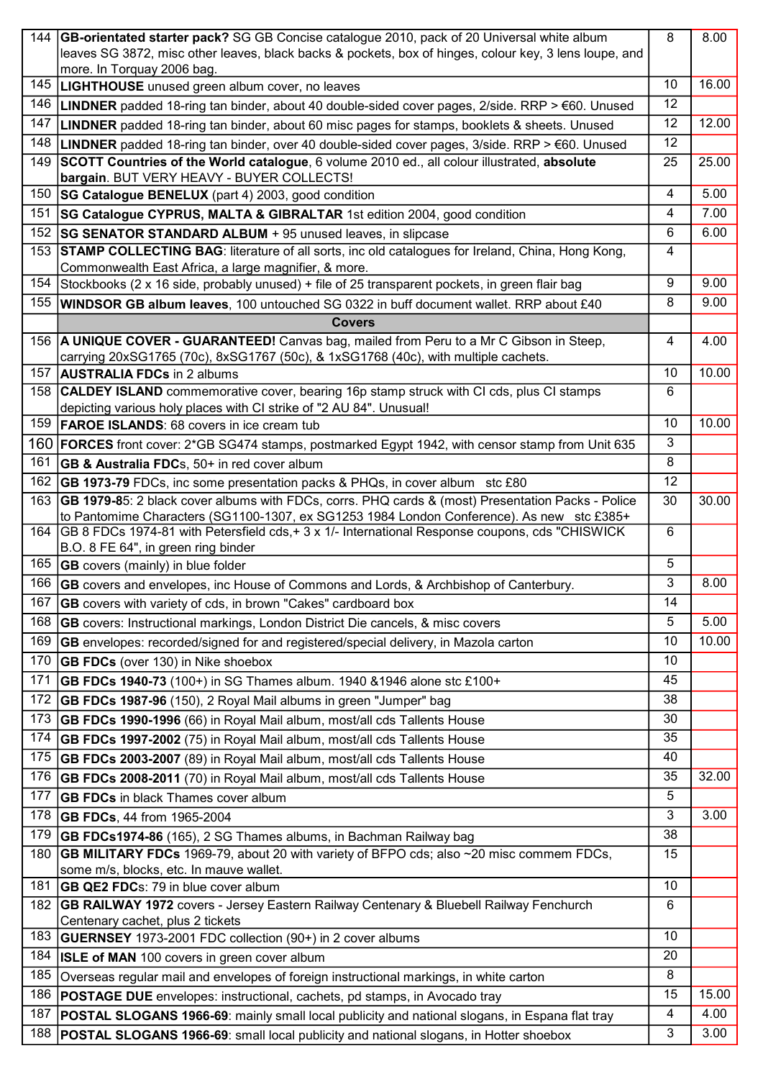| 144 | GB-orientated starter pack? SG GB Concise catalogue 2010, pack of 20 Universal white album                                                                                                     | 8              | 8.00  |
|-----|------------------------------------------------------------------------------------------------------------------------------------------------------------------------------------------------|----------------|-------|
|     | leaves SG 3872, misc other leaves, black backs & pockets, box of hinges, colour key, 3 lens loupe, and                                                                                         |                |       |
|     | more. In Torquay 2006 bag.                                                                                                                                                                     |                |       |
| 145 | <b>LIGHTHOUSE</b> unused green album cover, no leaves                                                                                                                                          | 10             | 16.00 |
| 146 | <b>LINDNER</b> padded 18-ring tan binder, about 40 double-sided cover pages, 2/side. RRP > $\epsilon$ 60. Unused                                                                               | 12             |       |
| 147 | LINDNER padded 18-ring tan binder, about 60 misc pages for stamps, booklets & sheets. Unused                                                                                                   | 12             | 12.00 |
| 148 | <b>LINDNER</b> padded 18-ring tan binder, over 40 double-sided cover pages, $3$ /side. RRP > $\epsilon$ 60. Unused                                                                             | 12             |       |
| 149 | SCOTT Countries of the World catalogue, 6 volume 2010 ed., all colour illustrated, absolute<br>bargain. BUT VERY HEAVY - BUYER COLLECTS!                                                       | 25             | 25.00 |
| 150 | <b>SG Catalogue BENELUX</b> (part 4) 2003, good condition                                                                                                                                      | 4              | 5.00  |
| 151 | <b>SG Catalogue CYPRUS, MALTA &amp; GIBRALTAR</b> 1st edition 2004, good condition                                                                                                             | 4              | 7.00  |
| 152 | <b>SG SENATOR STANDARD ALBUM</b> + 95 unused leaves, in slipcase                                                                                                                               | 6              | 6.00  |
| 153 | <b>STAMP COLLECTING BAG: literature of all sorts, inc old catalogues for Ireland, China, Hong Kong,</b>                                                                                        | 4              |       |
|     | Commonwealth East Africa, a large magnifier, & more.                                                                                                                                           |                |       |
| 154 | Stockbooks (2 x 16 side, probably unused) + file of 25 transparent pockets, in green flair bag                                                                                                 | 9              | 9.00  |
| 155 | WINDSOR GB album leaves, 100 untouched SG 0322 in buff document wallet. RRP about £40                                                                                                          | 8              | 9.00  |
|     | <b>Covers</b>                                                                                                                                                                                  |                |       |
|     | 156 A UNIQUE COVER - GUARANTEED! Canvas bag, mailed from Peru to a Mr C Gibson in Steep,<br>carrying 20xSG1765 (70c), 8xSG1767 (50c), & 1xSG1768 (40c), with multiple cachets.                 | $\overline{4}$ | 4.00  |
| 157 | <b>AUSTRALIA FDCs in 2 albums</b>                                                                                                                                                              | 10             | 10.00 |
| 158 | <b>CALDEY ISLAND</b> commemorative cover, bearing 16p stamp struck with CI cds, plus CI stamps                                                                                                 | 6              |       |
|     | depicting various holy places with CI strike of "2 AU 84". Unusual!                                                                                                                            |                |       |
| 159 | <b>FAROE ISLANDS: 68 covers in ice cream tub</b>                                                                                                                                               | 10             | 10.00 |
| 160 | <b>FORCES</b> front cover: 2*GB SG474 stamps, postmarked Egypt 1942, with censor stamp from Unit 635                                                                                           | 3              |       |
| 161 | <b>GB &amp; Australia FDCs, 50+ in red cover album</b>                                                                                                                                         | 8              |       |
| 162 | <b>GB 1973-79</b> FDCs, inc some presentation packs & PHQs, in cover album stc £80                                                                                                             | 12             |       |
| 163 | GB 1979-85: 2 black cover albums with FDCs, corrs. PHQ cards & (most) Presentation Packs - Police<br>to Pantomime Characters (SG1100-1307, ex SG1253 1984 London Conference). As new stc £385+ | 30             | 30.00 |
|     | 164 GB 8 FDCs 1974-81 with Petersfield cds, + 3 x 1/- International Response coupons, cds "CHISWICK"                                                                                           | 6              |       |
|     | B.O. 8 FE 64", in green ring binder                                                                                                                                                            |                |       |
| 165 | <b>GB</b> covers (mainly) in blue folder                                                                                                                                                       | 5              |       |
| 166 | <b>GB</b> covers and envelopes, inc House of Commons and Lords, & Archbishop of Canterbury.                                                                                                    | 3              | 8.00  |
|     | 167 GB covers with variety of cds, in brown "Cakes" cardboard box                                                                                                                              | 14             |       |
| 168 | <b>GB</b> covers: Instructional markings, London District Die cancels, & misc covers                                                                                                           | 5              | 5.00  |
| 169 | <b>GB</b> envelopes: recorded/signed for and registered/special delivery, in Mazola carton                                                                                                     | 10             | 10.00 |
| 170 | <b>GB FDCs</b> (over 130) in Nike shoebox                                                                                                                                                      | 10             |       |
| 171 | GB FDCs 1940-73 (100+) in SG Thames album. 1940 &1946 alone stc £100+                                                                                                                          | 45             |       |
| 172 | <b>GB FDCs 1987-96</b> (150), 2 Royal Mail albums in green "Jumper" bag                                                                                                                        | 38             |       |
| 173 | <b>GB FDCs 1990-1996</b> (66) in Royal Mail album, most/all cds Tallents House                                                                                                                 | 30             |       |
| 174 | <b>GB FDCs 1997-2002</b> (75) in Royal Mail album, most/all cds Tallents House                                                                                                                 | 35             |       |
| 175 | <b>GB FDCs 2003-2007</b> (89) in Royal Mail album, most/all cds Tallents House                                                                                                                 | 40             |       |
| 176 | GB FDCs 2008-2011 (70) in Royal Mail album, most/all cds Tallents House                                                                                                                        | 35             | 32.00 |
| 177 | <b>GB FDCs</b> in black Thames cover album                                                                                                                                                     | 5              |       |
| 178 | <b>GB FDCs, 44 from 1965-2004</b>                                                                                                                                                              | 3              | 3.00  |
| 179 | <b>GB FDCs1974-86</b> (165), 2 SG Thames albums, in Bachman Railway bag                                                                                                                        | 38             |       |
| 180 | <b>GB MILITARY FDCs</b> 1969-79, about 20 with variety of BFPO cds; also ~20 misc commem FDCs,                                                                                                 | 15             |       |
|     | some m/s, blocks, etc. In mauve wallet.                                                                                                                                                        |                |       |
| 181 | <b>GB QE2 FDCs: 79 in blue cover album</b>                                                                                                                                                     | 10             |       |
| 182 | GB RAILWAY 1972 covers - Jersey Eastern Railway Centenary & Bluebell Railway Fenchurch<br>Centenary cachet, plus 2 tickets                                                                     | 6              |       |
| 183 | <b>GUERNSEY</b> 1973-2001 FDC collection (90+) in 2 cover albums                                                                                                                               | 10             |       |
| 184 | <b>ISLE of MAN</b> 100 covers in green cover album                                                                                                                                             | 20             |       |
| 185 | Overseas regular mail and envelopes of foreign instructional markings, in white carton                                                                                                         | 8              |       |
| 186 | <b>POSTAGE DUE</b> envelopes: instructional, cachets, pd stamps, in Avocado tray                                                                                                               | 15             | 15.00 |
| 187 | POSTAL SLOGANS 1966-69: mainly small local publicity and national slogans, in Espana flat tray                                                                                                 | 4              | 4.00  |
| 188 | POSTAL SLOGANS 1966-69: small local publicity and national slogans, in Hotter shoebox                                                                                                          | 3              | 3.00  |
|     |                                                                                                                                                                                                |                |       |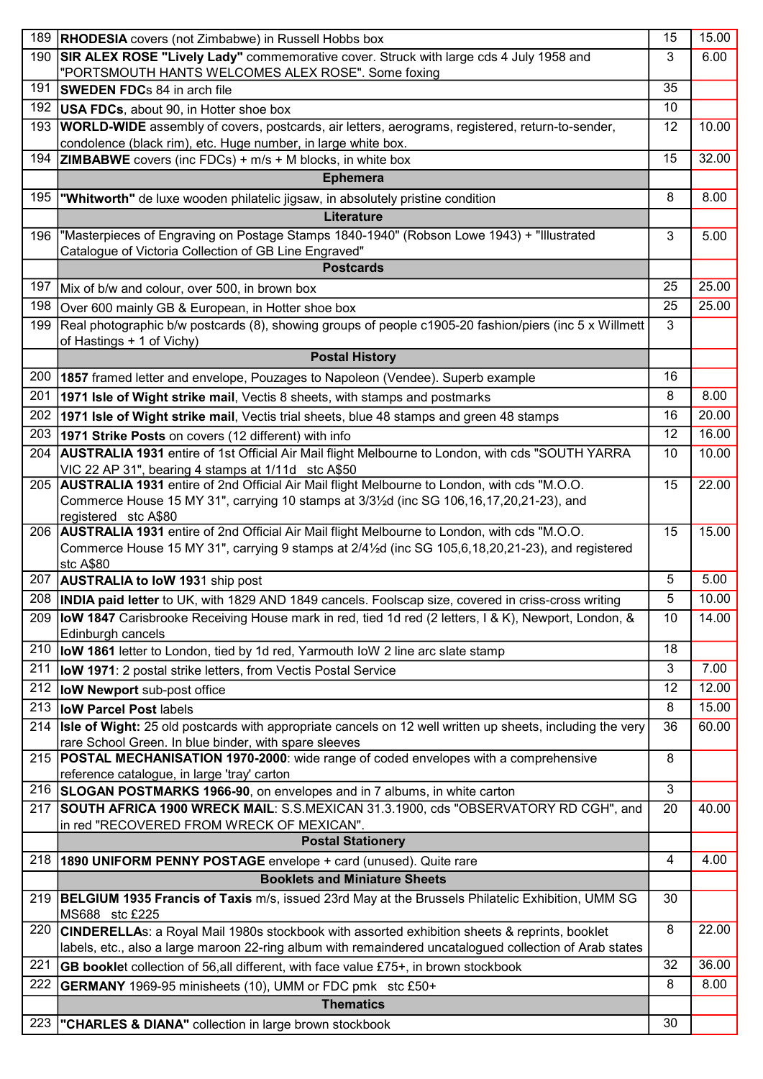| 189 | <b>RHODESIA</b> covers (not Zimbabwe) in Russell Hobbs box                                                                                                    | 15 | 15.00 |
|-----|---------------------------------------------------------------------------------------------------------------------------------------------------------------|----|-------|
| 190 | <b>SIR ALEX ROSE "Lively Lady"</b> commemorative cover. Struck with large cds 4 July 1958 and                                                                 | 3  | 6.00  |
|     | "PORTSMOUTH HANTS WELCOMES ALEX ROSE". Some foxing                                                                                                            |    |       |
| 191 | <b>SWEDEN FDCs 84 in arch file</b>                                                                                                                            | 35 |       |
| 192 | <b>USA FDCs</b> , about 90, in Hotter shoe box                                                                                                                | 10 |       |
| 193 | WORLD-WIDE assembly of covers, postcards, air letters, aerograms, registered, return-to-sender,                                                               | 12 | 10.00 |
|     | condolence (black rim), etc. Huge number, in large white box.                                                                                                 |    |       |
| 194 | <b>ZIMBABWE</b> covers (inc FDCs) + $m/s$ + M blocks, in white box                                                                                            | 15 | 32.00 |
|     | <b>Ephemera</b>                                                                                                                                               |    |       |
| 195 | <b>Whitworth"</b> de luxe wooden philatelic jigsaw, in absolutely pristine condition                                                                          | 8  | 8.00  |
|     | Literature                                                                                                                                                    |    |       |
| 196 | "Masterpieces of Engraving on Postage Stamps 1840-1940" (Robson Lowe 1943) + "Illustrated                                                                     | 3  | 5.00  |
|     | Catalogue of Victoria Collection of GB Line Engraved"                                                                                                         |    |       |
|     | <b>Postcards</b>                                                                                                                                              |    |       |
| 197 | Mix of b/w and colour, over 500, in brown box                                                                                                                 | 25 | 25.00 |
| 198 | Over 600 mainly GB & European, in Hotter shoe box                                                                                                             | 25 | 25.00 |
| 199 | Real photographic b/w postcards (8), showing groups of people c1905-20 fashion/piers (inc 5 x Willmett                                                        | 3  |       |
|     | of Hastings + 1 of Vichy)                                                                                                                                     |    |       |
|     | <b>Postal History</b>                                                                                                                                         |    |       |
| 200 | 1857 framed letter and envelope, Pouzages to Napoleon (Vendee). Superb example                                                                                | 16 |       |
| 201 | 1971 Isle of Wight strike mail, Vectis 8 sheets, with stamps and postmarks                                                                                    | 8  | 8.00  |
| 202 | 1971 Isle of Wight strike mail, Vectis trial sheets, blue 48 stamps and green 48 stamps                                                                       | 16 | 20.00 |
| 203 | 1971 Strike Posts on covers (12 different) with info                                                                                                          | 12 | 16.00 |
| 204 | <b>AUSTRALIA 1931</b> entire of 1st Official Air Mail flight Melbourne to London, with cds "SOUTH YARRA                                                       | 10 | 10.00 |
|     | VIC 22 AP 31", bearing 4 stamps at 1/11d stc A\$50                                                                                                            |    |       |
| 205 | AUSTRALIA 1931 entire of 2nd Official Air Mail flight Melbourne to London, with cds "M.O.O.                                                                   | 15 | 22.00 |
|     | Commerce House 15 MY 31", carrying 10 stamps at 3/31/2d (inc SG 106,16,17,20,21-23), and                                                                      |    |       |
|     | registered stc A\$80<br>206   AUSTRALIA 1931 entire of 2nd Official Air Mail flight Melbourne to London, with cds "M.O.O.                                     | 15 | 15.00 |
|     | Commerce House 15 MY 31", carrying 9 stamps at 2/41/2d (inc SG 105,6,18,20,21-23), and registered                                                             |    |       |
|     | stc A\$80                                                                                                                                                     |    |       |
| 207 | <b>AUSTRALIA to IoW 1931 ship post</b>                                                                                                                        | 5  | 5.00  |
|     | 208 <b>INDIA paid letter</b> to UK, with 1829 AND 1849 cancels. Foolscap size, covered in criss-cross writing                                                 | 5  | 10.00 |
|     | 209 <b>IoW 1847</b> Carisbrooke Receiving House mark in red, tied 1d red (2 letters, I & K), Newport, London, &                                               | 10 | 14.00 |
|     | Edinburgh cancels                                                                                                                                             |    |       |
| 210 | loW 1861 letter to London, tied by 1d red, Yarmouth loW 2 line arc slate stamp                                                                                | 18 |       |
| 211 | <b>IoW 1971</b> : 2 postal strike letters, from Vectis Postal Service                                                                                         | 3  | 7.00  |
| 212 | low Newport sub-post office                                                                                                                                   | 12 | 12.00 |
| 213 | low Parcel Post labels                                                                                                                                        | 8  | 15.00 |
| 214 | Isle of Wight: 25 old postcards with appropriate cancels on 12 well written up sheets, including the very                                                     | 36 | 60.00 |
|     | rare School Green. In blue binder, with spare sleeves                                                                                                         |    |       |
| 215 | POSTAL MECHANISATION 1970-2000: wide range of coded envelopes with a comprehensive                                                                            | 8  |       |
| 216 | reference catalogue, in large 'tray' carton                                                                                                                   | 3  |       |
| 217 | SLOGAN POSTMARKS 1966-90, on envelopes and in 7 albums, in white carton<br>SOUTH AFRICA 1900 WRECK MAIL: S.S.MEXICAN 31.3.1900, cds "OBSERVATORY RD CGH", and | 20 | 40.00 |
|     | in red "RECOVERED FROM WRECK OF MEXICAN".                                                                                                                     |    |       |
|     | <b>Postal Stationery</b>                                                                                                                                      |    |       |
| 218 | <b>1890 UNIFORM PENNY POSTAGE</b> envelope + card (unused). Quite rare                                                                                        | 4  | 4.00  |
|     | <b>Booklets and Miniature Sheets</b>                                                                                                                          |    |       |
|     | 219 <b>BELGIUM 1935 Francis of Taxis</b> m/s, issued 23rd May at the Brussels Philatelic Exhibition, UMM SG                                                   | 30 |       |
|     | MS688 stc £225                                                                                                                                                |    |       |
| 220 | CINDERELLAS: a Royal Mail 1980s stockbook with assorted exhibition sheets & reprints, booklet                                                                 | 8  | 22.00 |
|     | labels, etc., also a large maroon 22-ring album with remaindered uncatalogued collection of Arab states                                                       |    |       |
| 221 | GB booklet collection of 56, all different, with face value £75+, in brown stockbook                                                                          | 32 | 36.00 |
| 222 | <b>GERMANY</b> 1969-95 minisheets (10), UMM or FDC pmk stc £50+                                                                                               | 8  | 8.00  |
|     | <b>Thematics</b>                                                                                                                                              |    |       |
| 223 | <b>"CHARLES &amp; DIANA"</b> collection in large brown stockbook                                                                                              | 30 |       |
|     |                                                                                                                                                               |    |       |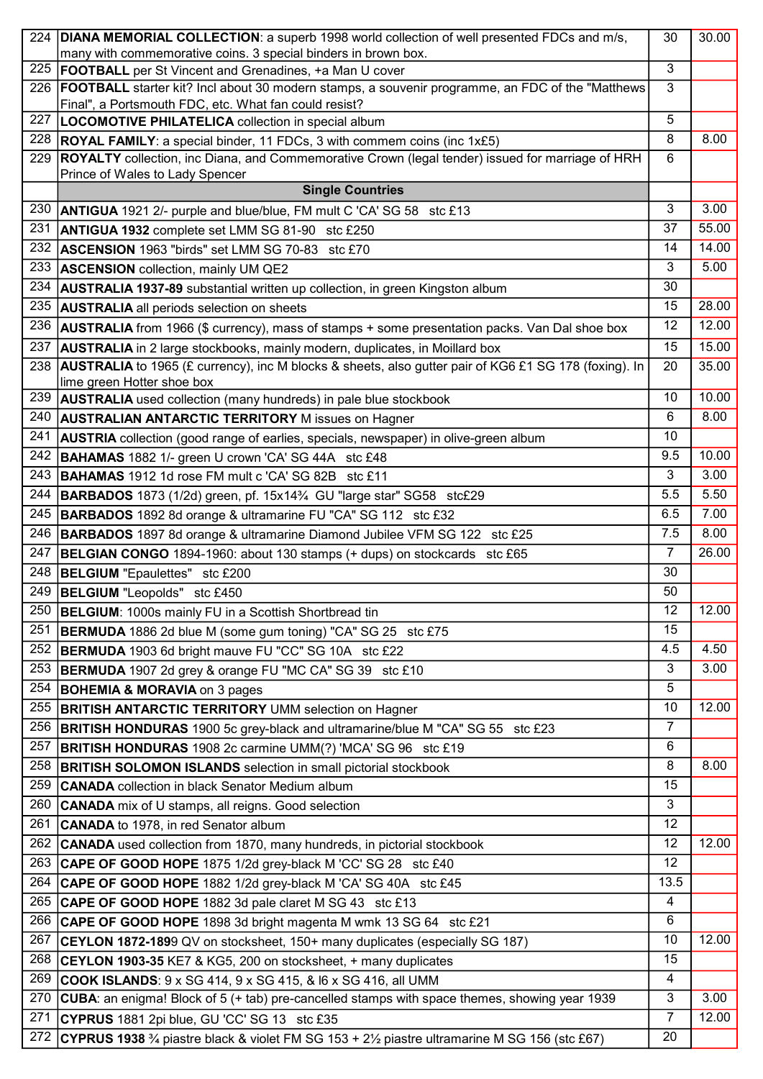|     | 224   DIANA MEMORIAL COLLECTION: a superb 1998 world collection of well presented FDCs and m/s,                                                            | 30             | 30.00 |
|-----|------------------------------------------------------------------------------------------------------------------------------------------------------------|----------------|-------|
|     | many with commemorative coins. 3 special binders in brown box.                                                                                             | 3              |       |
| 225 | <b>FOOTBALL</b> per St Vincent and Grenadines, +a Man U cover                                                                                              |                |       |
| 226 | FOOTBALL starter kit? Incl about 30 modern stamps, a souvenir programme, an FDC of the "Matthews"<br>Final", a Portsmouth FDC, etc. What fan could resist? | 3              |       |
| 227 | LOCOMOTIVE PHILATELICA collection in special album                                                                                                         | 5              |       |
| 228 | <b>ROYAL FAMILY:</b> a special binder, 11 FDCs, 3 with commem coins (inc 1x£5)                                                                             | 8              | 8.00  |
| 229 | ROYALTY collection, inc Diana, and Commemorative Crown (legal tender) issued for marriage of HRH                                                           | 6              |       |
|     | Prince of Wales to Lady Spencer                                                                                                                            |                |       |
|     | <b>Single Countries</b>                                                                                                                                    |                |       |
| 230 | <b>ANTIGUA</b> 1921 2/- purple and blue/blue, FM mult C 'CA' SG 58 stc £13                                                                                 | 3              | 3.00  |
| 231 | <b>ANTIGUA 1932</b> complete set LMM SG 81-90 stc £250                                                                                                     | 37             | 55.00 |
| 232 | <b>ASCENSION</b> 1963 "birds" set LMM SG 70-83 stc £70                                                                                                     | 14             | 14.00 |
| 233 | <b>ASCENSION</b> collection, mainly UM QE2                                                                                                                 | 3              | 5.00  |
| 234 | <b>AUSTRALIA 1937-89</b> substantial written up collection, in green Kingston album                                                                        | 30             |       |
| 235 | <b>AUSTRALIA</b> all periods selection on sheets                                                                                                           | 15             | 28.00 |
| 236 | <b>AUSTRALIA</b> from 1966 (\$ currency), mass of stamps + some presentation packs. Van Dal shoe box                                                       | 12             | 12.00 |
| 237 | <b>AUSTRALIA</b> in 2 large stockbooks, mainly modern, duplicates, in Moillard box                                                                         | 15             | 15.00 |
| 238 | <b>AUSTRALIA</b> to 1965 (£ currency), inc M blocks & sheets, also gutter pair of KG6 £1 SG 178 (foxing). In                                               | 20             | 35.00 |
|     | lime green Hotter shoe box                                                                                                                                 |                |       |
| 239 | <b>AUSTRALIA</b> used collection (many hundreds) in pale blue stockbook                                                                                    | 10             | 10.00 |
| 240 | <b>AUSTRALIAN ANTARCTIC TERRITORY M issues on Hagner</b>                                                                                                   | 6              | 8.00  |
| 241 | <b>AUSTRIA</b> collection (good range of earlies, specials, newspaper) in olive-green album                                                                | 10             |       |
| 242 | <b>BAHAMAS</b> 1882 1/- green U crown 'CA' SG 44A stc £48                                                                                                  | 9.5            | 10.00 |
| 243 | <b>BAHAMAS</b> 1912 1d rose FM mult c 'CA' SG 82B stc £11                                                                                                  | 3              | 3.00  |
| 244 | <b>BARBADOS</b> 1873 (1/2d) green, pf. 15x14 <sup>3</sup> /4 GU "large star" SG58 stc£29                                                                   | 5.5            | 5.50  |
| 245 | <b>BARBADOS</b> 1892 8d orange & ultramarine FU "CA" SG 112 stc £32                                                                                        | 6.5            | 7.00  |
| 246 |                                                                                                                                                            | 7.5            | 8.00  |
| 247 | <b>BARBADOS</b> 1897 8d orange & ultramarine Diamond Jubilee VFM SG 122 stc £25                                                                            | $\overline{7}$ | 26.00 |
|     | <b>BELGIAN CONGO</b> 1894-1960: about 130 stamps (+ dups) on stockcards stc £65                                                                            | 30             |       |
|     | 248   BELGIUM "Epaulettes" stc £200                                                                                                                        | 50             |       |
| 249 | <b>BELGIUM</b> "Leopolds" stc £450                                                                                                                         |                |       |
| 250 | <b>BELGIUM: 1000s mainly FU in a Scottish Shortbread tin</b>                                                                                               | 12             | 12.00 |
| 251 | <b>BERMUDA</b> 1886 2d blue M (some gum toning) "CA" SG 25 stc £75                                                                                         | 15             |       |
| 252 | BERMUDA 1903 6d bright mauve FU "CC" SG 10A stc £22                                                                                                        | 4.5            | 4.50  |
| 253 | BERMUDA 1907 2d grey & orange FU "MC CA" SG 39 stc £10                                                                                                     | 3              | 3.00  |
| 254 | <b>BOHEMIA &amp; MORAVIA</b> on 3 pages                                                                                                                    | 5              |       |
| 255 | <b>BRITISH ANTARCTIC TERRITORY UMM selection on Hagner</b>                                                                                                 | 10             | 12.00 |
| 256 | <b>BRITISH HONDURAS</b> 1900 5c grey-black and ultramarine/blue M "CA" SG 55 stc £23                                                                       | 7              |       |
| 257 | BRITISH HONDURAS 1908 2c carmine UMM(?) 'MCA' SG 96 stc £19                                                                                                | 6              |       |
| 258 | <b>BRITISH SOLOMON ISLANDS</b> selection in small pictorial stockbook                                                                                      | 8              | 8.00  |
| 259 | <b>CANADA</b> collection in black Senator Medium album                                                                                                     | 15             |       |
| 260 | <b>CANADA</b> mix of U stamps, all reigns. Good selection                                                                                                  | 3              |       |
| 261 | <b>CANADA</b> to 1978, in red Senator album                                                                                                                | 12             |       |
| 262 | CANADA used collection from 1870, many hundreds, in pictorial stockbook                                                                                    | 12             | 12.00 |
| 263 | CAPE OF GOOD HOPE 1875 1/2d grey-black M 'CC' SG 28 stc £40                                                                                                | 12             |       |
| 264 | CAPE OF GOOD HOPE 1882 1/2d grey-black M 'CA' SG 40A stc £45                                                                                               | 13.5           |       |
| 265 | CAPE OF GOOD HOPE 1882 3d pale claret M SG 43 stc £13                                                                                                      | 4              |       |
| 266 | CAPE OF GOOD HOPE 1898 3d bright magenta M wmk 13 SG 64 stc £21                                                                                            | 6              |       |
| 267 | CEYLON 1872-1899 QV on stocksheet, 150+ many duplicates (especially SG 187)                                                                                | 10             | 12.00 |
| 268 | CEYLON 1903-35 KE7 & KG5, 200 on stocksheet, + many duplicates                                                                                             | 15             |       |
| 269 | <b>COOK ISLANDS:</b> 9 x SG 414, 9 x SG 415, & I6 x SG 416, all UMM                                                                                        | 4              |       |
| 270 | <b>CUBA:</b> an enigma! Block of 5 (+ tab) pre-cancelled stamps with space themes, showing year 1939                                                       | 3              | 3.00  |
| 271 | CYPRUS 1881 2pi blue, GU 'CC' SG 13 stc £35                                                                                                                | $\overline{7}$ | 12.00 |
| 272 | CYPRUS 1938 3/4 piastre black & violet FM SG 153 + 2 <sup>1</sup> / <sub>2</sub> piastre ultramarine M SG 156 (stc £67)                                    | 20             |       |
|     |                                                                                                                                                            |                |       |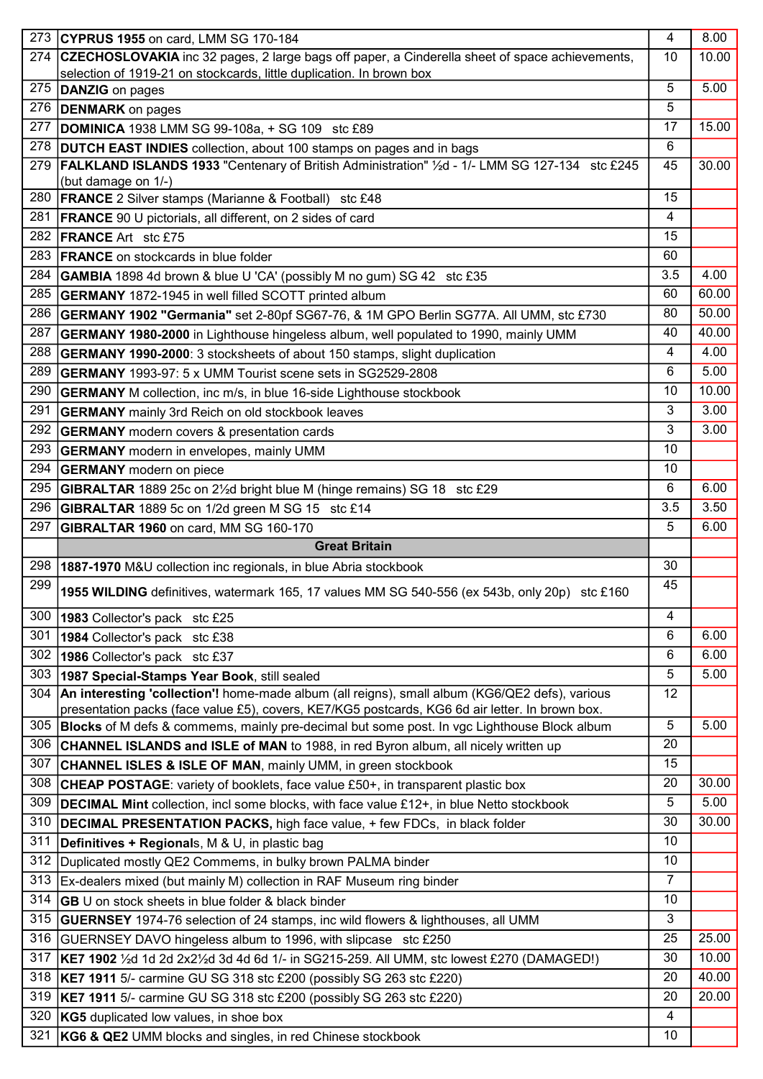| 273 | CYPRUS 1955 on card, LMM SG 170-184                                                                                                           | $\overline{4}$ | 8.00  |
|-----|-----------------------------------------------------------------------------------------------------------------------------------------------|----------------|-------|
| 274 | CZECHOSLOVAKIA inc 32 pages, 2 large bags off paper, a Cinderella sheet of space achievements,                                                | 10             | 10.00 |
|     | selection of 1919-21 on stockcards, little duplication. In brown box                                                                          |                |       |
| 275 | DANZIG on pages                                                                                                                               | 5              | 5.00  |
| 276 | <b>DENMARK</b> on pages                                                                                                                       | 5              |       |
| 277 | <b>DOMINICA</b> 1938 LMM SG 99-108a, + SG 109 stc £89                                                                                         | 17             | 15.00 |
| 278 | <b>DUTCH EAST INDIES</b> collection, about 100 stamps on pages and in bags                                                                    | 6              |       |
| 279 | FALKLAND ISLANDS 1933 "Centenary of British Administration" 1/2d - 1/- LMM SG 127-134 stc £245                                                | 45             | 30.00 |
| 280 | (but damage on 1/-)<br><b>FRANCE</b> 2 Silver stamps (Marianne & Football) stc £48                                                            | 15             |       |
| 281 |                                                                                                                                               | 4              |       |
| 282 | <b>FRANCE</b> 90 U pictorials, all different, on 2 sides of card<br><b>FRANCE</b> Art stc £75                                                 | 15             |       |
| 283 |                                                                                                                                               | 60             |       |
| 284 | <b>FRANCE</b> on stockcards in blue folder                                                                                                    | 3.5            | 4.00  |
|     | <b>GAMBIA</b> 1898 4d brown & blue U 'CA' (possibly M no gum) SG 42 stc £35                                                                   | 60             | 60.00 |
| 285 | <b>GERMANY</b> 1872-1945 in well filled SCOTT printed album                                                                                   |                |       |
| 286 | GERMANY 1902 "Germania" set 2-80pf SG67-76, & 1M GPO Berlin SG77A. All UMM, stc £730                                                          | 80             | 50.00 |
| 287 | GERMANY 1980-2000 in Lighthouse hingeless album, well populated to 1990, mainly UMM                                                           | 40             | 40.00 |
| 288 | <b>GERMANY 1990-2000: 3 stocksheets of about 150 stamps, slight duplication</b>                                                               | 4              | 4.00  |
| 289 | <b>GERMANY</b> 1993-97: 5 x UMM Tourist scene sets in SG2529-2808                                                                             | 6              | 5.00  |
| 290 | <b>GERMANY</b> M collection, inc m/s, in blue 16-side Lighthouse stockbook                                                                    | 10             | 10.00 |
| 291 | <b>GERMANY</b> mainly 3rd Reich on old stockbook leaves                                                                                       | 3              | 3.00  |
| 292 | <b>GERMANY</b> modern covers & presentation cards                                                                                             | 3              | 3.00  |
| 293 | <b>GERMANY</b> modern in envelopes, mainly UMM                                                                                                | 10             |       |
| 294 | <b>GERMANY</b> modern on piece                                                                                                                | 10             |       |
| 295 | <b>GIBRALTAR</b> 1889 25c on 2 <sup>1</sup> / <sub>2</sub> d bright blue M (hinge remains) SG 18 stc £29                                      | 6              | 6.00  |
| 296 | GIBRALTAR 1889 5c on 1/2d green M SG 15 stc £14                                                                                               | 3.5            | 3.50  |
| 297 | GIBRALTAR 1960 on card, MM SG 160-170                                                                                                         | 5              | 6.00  |
|     |                                                                                                                                               |                |       |
|     | <b>Great Britain</b>                                                                                                                          |                |       |
| 298 | 1887-1970 M&U collection inc regionals, in blue Abria stockbook                                                                               | 30             |       |
| 299 | 1955 WILDING definitives, watermark 165, 17 values MM SG 540-556 (ex 543b, only 20p) stc £160                                                 | 45             |       |
| 300 | 1983 Collector's pack stc £25                                                                                                                 | 4              |       |
| 301 |                                                                                                                                               | 6              | 6.00  |
| 302 | 1984 Collector's pack stc £38<br>1986 Collector's pack stc £37                                                                                | 6              | 6.00  |
| 303 |                                                                                                                                               | 5              | 5.00  |
| 304 | 1987 Special-Stamps Year Book, still sealed<br>An interesting 'collection'! home-made album (all reigns), small album (KG6/QE2 defs), various | 12             |       |
|     | presentation packs (face value £5), covers, KE7/KG5 postcards, KG6 6d air letter. In brown box.                                               |                |       |
| 305 | <b>Blocks</b> of M defs & commems, mainly pre-decimal but some post. In vgc Lighthouse Block album                                            | 5              | 5.00  |
| 306 | <b>CHANNEL ISLANDS and ISLE of MAN</b> to 1988, in red Byron album, all nicely written up                                                     | 20             |       |
| 307 | <b>CHANNEL ISLES &amp; ISLE OF MAN, mainly UMM, in green stockbook</b>                                                                        | 15             |       |
| 308 | CHEAP POSTAGE: variety of booklets, face value £50+, in transparent plastic box                                                               | 20             | 30.00 |
| 309 | <b>DECIMAL Mint</b> collection, incl some blocks, with face value £12+, in blue Netto stockbook                                               | 5              | 5.00  |
| 310 | <b>DECIMAL PRESENTATION PACKS, high face value, + few FDCs, in black folder</b>                                                               | 30             | 30.00 |
| 311 | Definitives + Regionals, M & U, in plastic bag                                                                                                | 10             |       |
| 312 | Duplicated mostly QE2 Commems, in bulky brown PALMA binder                                                                                    | 10             |       |
| 313 | Ex-dealers mixed (but mainly M) collection in RAF Museum ring binder                                                                          | $\overline{7}$ |       |
| 314 | <b>GB</b> U on stock sheets in blue folder & black binder                                                                                     | 10             |       |
| 315 | <b>GUERNSEY</b> 1974-76 selection of 24 stamps, inc wild flowers & lighthouses, all UMM                                                       | 3              |       |
| 316 | GUERNSEY DAVO hingeless album to 1996, with slipcase stc £250                                                                                 | 25             | 25.00 |
| 317 | KE7 1902 1/2d 1d 2d 2x21/2d 3d 4d 6d 1/- in SG215-259. All UMM, stc lowest £270 (DAMAGED!)                                                    | 30             | 10.00 |
| 318 | <b>KE7 1911</b> 5/- carmine GU SG 318 stc £200 (possibly SG 263 stc £220)                                                                     | 20             | 40.00 |
| 319 | KE7 1911 5/- carmine GU SG 318 stc £200 (possibly SG 263 stc £220)                                                                            | 20             | 20.00 |
| 320 | KG5 duplicated low values, in shoe box                                                                                                        | $\overline{4}$ |       |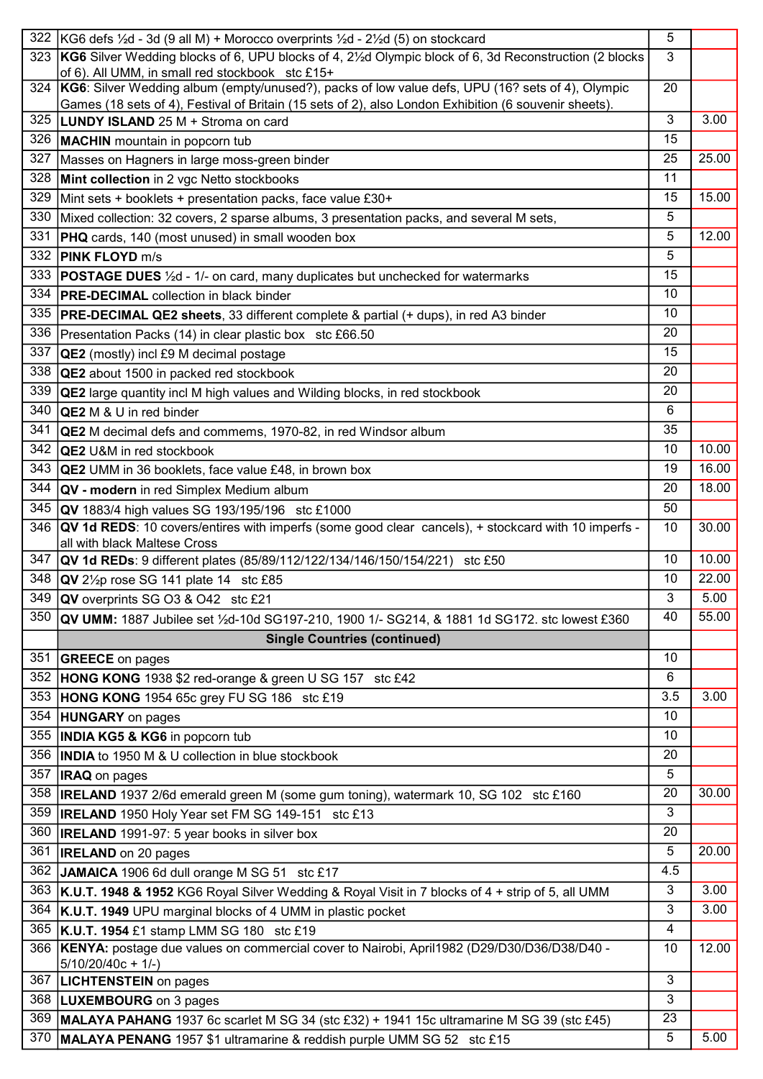| 322 | $ KG6$ defs $\frac{1}{2}d - 3d$ (9 all M) + Morocco overprints $\frac{1}{2}d - 2\frac{1}{2}d$ (5) on stockcard                                                                                            | 5   |       |
|-----|-----------------------------------------------------------------------------------------------------------------------------------------------------------------------------------------------------------|-----|-------|
|     | 323 KG6 Silver Wedding blocks of 6, UPU blocks of 4, 2 <sup>1/2</sup> d Olympic block of 6, 3d Reconstruction (2 blocks<br>of 6). All UMM, in small red stockbook stc £15+                                | 3   |       |
| 324 | KG6: Silver Wedding album (empty/unused?), packs of low value defs, UPU (16? sets of 4), Olympic<br>Games (18 sets of 4), Festival of Britain (15 sets of 2), also London Exhibition (6 souvenir sheets). | 20  |       |
| 325 | <b>LUNDY ISLAND</b> 25 M + Stroma on card                                                                                                                                                                 | 3   | 3.00  |
| 326 | <b>MACHIN</b> mountain in popcorn tub                                                                                                                                                                     | 15  |       |
| 327 | Masses on Hagners in large moss-green binder                                                                                                                                                              | 25  | 25.00 |
| 328 | Mint collection in 2 vgc Netto stockbooks                                                                                                                                                                 | 11  |       |
| 329 | Mint sets + booklets + presentation packs, face value £30+                                                                                                                                                | 15  | 15.00 |
| 330 | Mixed collection: 32 covers, 2 sparse albums, 3 presentation packs, and several M sets,                                                                                                                   | 5   |       |
| 331 | <b>PHQ</b> cards, 140 (most unused) in small wooden box                                                                                                                                                   | 5   | 12.00 |
| 332 | <b>PINK FLOYD m/s</b>                                                                                                                                                                                     | 5   |       |
| 333 | <b>POSTAGE DUES</b> 1/2d - 1/- on card, many duplicates but unchecked for watermarks                                                                                                                      | 15  |       |
| 334 | <b>PRE-DECIMAL</b> collection in black binder                                                                                                                                                             | 10  |       |
| 335 | <b>PRE-DECIMAL QE2 sheets</b> , 33 different complete & partial (+ dups), in red A3 binder                                                                                                                | 10  |       |
| 336 | Presentation Packs (14) in clear plastic box stc £66.50                                                                                                                                                   | 20  |       |
| 337 | <b>QE2</b> (mostly) incl £9 M decimal postage                                                                                                                                                             | 15  |       |
| 338 | <b>QE2</b> about 1500 in packed red stockbook                                                                                                                                                             | 20  |       |
| 339 | <b>QE2</b> large quantity incl M high values and Wilding blocks, in red stockbook                                                                                                                         | 20  |       |
| 340 | <b>QE2</b> M & U in red binder                                                                                                                                                                            | 6   |       |
| 341 | <b>QE2</b> M decimal defs and commems, 1970-82, in red Windsor album                                                                                                                                      | 35  |       |
| 342 | <b>QE2</b> U&M in red stockbook                                                                                                                                                                           | 10  | 10.00 |
| 343 | <b>QE2</b> UMM in 36 booklets, face value £48, in brown box                                                                                                                                               | 19  | 16.00 |
| 344 | QV - modern in red Simplex Medium album                                                                                                                                                                   | 20  | 18.00 |
| 345 | <b>QV</b> 1883/4 high values SG 193/195/196 stc £1000                                                                                                                                                     | 50  |       |
| 346 | <b>QV 1d REDS:</b> 10 covers/entires with imperfs (some good clear cancels), + stockcard with 10 imperfs -                                                                                                | 10  | 30.00 |
|     | all with black Maltese Cross                                                                                                                                                                              |     |       |
| 347 | <b>QV 1d REDs:</b> 9 different plates (85/89/112/122/134/146/150/154/221) stc £50                                                                                                                         | 10  | 10.00 |
|     | 348 QV 21/2p rose SG 141 plate 14 stc £85                                                                                                                                                                 | 10  | 22.00 |
|     | 349 <b>QV</b> overprints SG O3 & O42 stc £21                                                                                                                                                              | 3   | 5.00  |
|     | 350 QV UMM: 1887 Jubilee set 1/2d-10d SG197-210, 1900 1/- SG214, & 1881 1d SG172. stc lowest £360                                                                                                         | 40  | 55.00 |
|     | <b>Single Countries (continued)</b>                                                                                                                                                                       |     |       |
| 351 | <b>GREECE</b> on pages                                                                                                                                                                                    | 10  |       |
| 352 | <b>HONG KONG</b> 1938 \$2 red-orange & green U SG 157 stc £42                                                                                                                                             | 6   |       |
| 353 | <b>HONG KONG</b> 1954 65c grey FU SG 186 stc £19                                                                                                                                                          | 3.5 | 3.00  |
| 354 | <b>HUNGARY</b> on pages                                                                                                                                                                                   | 10  |       |
| 355 | <b>INDIA KG5 &amp; KG6</b> in popcorn tub                                                                                                                                                                 | 10  |       |
| 356 | <b>INDIA</b> to 1950 M & U collection in blue stockbook                                                                                                                                                   | 20  |       |
| 357 | <b>IRAQ</b> on pages                                                                                                                                                                                      | 5   |       |
| 358 | <b>IRELAND</b> 1937 2/6d emerald green M (some gum toning), watermark 10, SG 102 stc £160                                                                                                                 | 20  | 30.00 |
| 359 | <b>IRELAND</b> 1950 Holy Year set FM SG 149-151 stc £13                                                                                                                                                   | 3   |       |
| 360 | <b>IRELAND</b> 1991-97: 5 year books in silver box                                                                                                                                                        | 20  |       |
| 361 | <b>IRELAND</b> on 20 pages                                                                                                                                                                                | 5   | 20.00 |
| 362 | JAMAICA 1906 6d dull orange M SG 51 stc £17                                                                                                                                                               | 4.5 |       |
| 363 | K.U.T. 1948 & 1952 KG6 Royal Silver Wedding & Royal Visit in 7 blocks of 4 + strip of 5, all UMM                                                                                                          | 3   | 3.00  |
| 364 | K.U.T. 1949 UPU marginal blocks of 4 UMM in plastic pocket                                                                                                                                                | 3   | 3.00  |
| 365 |                                                                                                                                                                                                           | 4   |       |
| 366 | <b>K.U.T. 1954</b> £1 stamp LMM SG 180 stc £19<br>KENYA: postage due values on commercial cover to Nairobi, April1982 (D29/D30/D36/D38/D40 -                                                              | 10  | 12.00 |
|     | $5/10/20/40c + 1/-$                                                                                                                                                                                       |     |       |
| 367 | <b>LICHTENSTEIN</b> on pages                                                                                                                                                                              | 3   |       |
|     | 368  LUXEMBOURG on 3 pages                                                                                                                                                                                | 3   |       |
| 369 | MALAYA PAHANG 1937 6c scarlet M SG 34 (stc £32) + 1941 15c ultramarine M SG 39 (stc £45)                                                                                                                  | 23  |       |
| 370 | MALAYA PENANG 1957 \$1 ultramarine & reddish purple UMM SG 52 stc £15                                                                                                                                     | 5   | 5.00  |